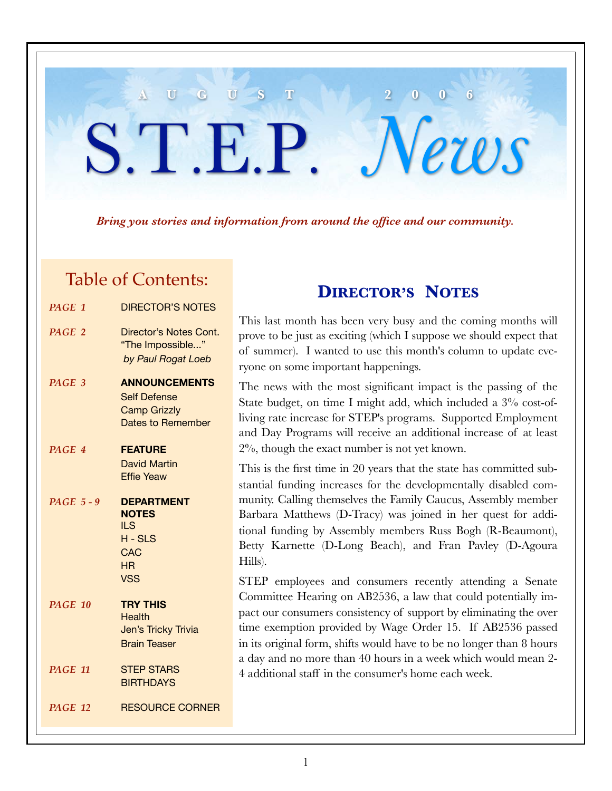### *Bring you stories and information from around the office and our community.*

**A U G U S T 2 0 0 6**

S.T.E.P. *News*

### Table of Contents:

| PAGE 1            | <b>DIRECTOR'S NOTES</b>                                                                         |
|-------------------|-------------------------------------------------------------------------------------------------|
| PAGE 2            | Director's Notes Cont.<br>"The Impossible"<br>by Paul Rogat Loeb                                |
| PAGE 3            | <b>ANNOUNCEMENTS</b><br><b>Self Defense</b><br><b>Camp Grizzly</b><br><b>Dates to Remember</b>  |
| PAGE 4            | <b>FEATURE</b><br>David Martin<br><b>Effie Yeaw</b>                                             |
| <b>PAGE 5 - 9</b> | <b>DEPARTMENT</b><br><b>NOTES</b><br><b>ILS</b><br>$H - SLS$<br><b>CAC</b><br>HR.<br><b>VSS</b> |
| <b>PAGE 10</b>    | <b>TRY THIS</b><br><b>Health</b><br>Jen's Tricky Trivia<br><b>Brain Teaser</b>                  |
| PAGE 11           | <b>STEP STARS</b><br><b>BIRTHDAYS</b>                                                           |
| <b>PAGE 12</b>    | <b>RESOURCE CORNER</b>                                                                          |

### **DIRECTOR'S NOTES**

This last month has been very busy and the coming months will prove to be just as exciting (which I suppose we should expect that of summer). I wanted to use this month's column to update everyone on some important happenings.

The news with the most significant impact is the passing of the State budget, on time I might add, which included a 3% cost-ofliving rate increase for STEP's programs. Supported Employment and Day Programs will receive an additional increase of at least 2%, though the exact number is not yet known.

This is the first time in 20 years that the state has committed substantial funding increases for the developmentally disabled community. Calling themselves the Family Caucus, Assembly member Barbara Matthews (D-Tracy) was joined in her quest for additional funding by Assembly members Russ Bogh (R-Beaumont), Betty Karnette (D-Long Beach), and Fran Pavley (D-Agoura Hills).

STEP employees and consumers recently attending a Senate Committee Hearing on AB2536, a law that could potentially impact our consumers consistency of support by eliminating the over time exemption provided by Wage Order 15. If AB2536 passed in its original form, shifts would have to be no longer than 8 hours a day and no more than 40 hours in a week which would mean 2- 4 additional staff in the consumer's home each week.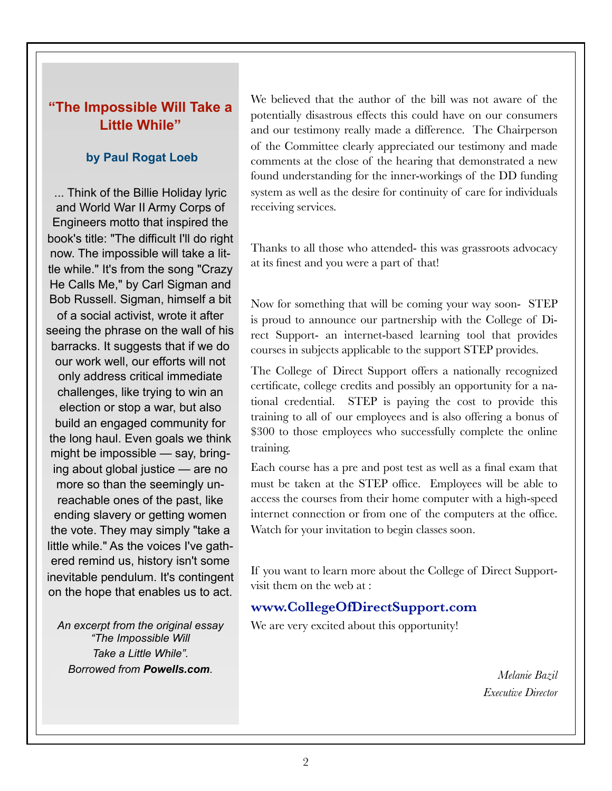### **"The Impossible Will Take a Little While"**

### **by Paul Rogat Loeb**

... Think of the Billie Holiday lyric and World War II Army Corps of Engineers motto that inspired the book's title: "The difficult I'll do right now. The impossible will take a little while." It's from the song "Crazy He Calls Me," by Carl Sigman and Bob Russell. Sigman, himself a bit of a social activist, wrote it after seeing the phrase on the wall of his barracks. It suggests that if we do our work well, our efforts will not only address critical immediate challenges, like trying to win an election or stop a war, but also build an engaged community for the long haul. Even goals we think might be impossible — say, bringing about global justice — are no more so than the seemingly unreachable ones of the past, like ending slavery or getting women the vote. They may simply "take a little while." As the voices I've gathered remind us, history isn't some inevitable pendulum. It's contingent on the hope that enables us to act.

*An excerpt from the original essay "The Impossible Will Take a Little While". Borrowed from Powells.com.*

We believed that the author of the bill was not aware of the potentially disastrous effects this could have on our consumers and our testimony really made a difference. The Chairperson of the Committee clearly appreciated our testimony and made comments at the close of the hearing that demonstrated a new found understanding for the inner-workings of the DD funding system as well as the desire for continuity of care for individuals receiving services.

Thanks to all those who attended- this was grassroots advocacy at its finest and you were a part of that!

Now for something that will be coming your way soon- STEP is proud to announce our partnership with the College of Direct Support- an internet-based learning tool that provides courses in subjects applicable to the support STEP provides.

The College of Direct Support offers a nationally recognized certificate, college credits and possibly an opportunity for a national credential. STEP is paying the cost to provide this training to all of our employees and is also offering a bonus of \$300 to those employees who successfully complete the online training.

Each course has a pre and post test as well as a final exam that must be taken at the STEP office. Employees will be able to access the courses from their home computer with a high-speed internet connection or from one of the computers at the office. Watch for your invitation to begin classes soon.

If you want to learn more about the College of Direct Supportvisit them on the web at :

### **www.CollegeOfDirectSupport.com**

We are very excited about this opportunity!

*Melanie Bazil Executive Director*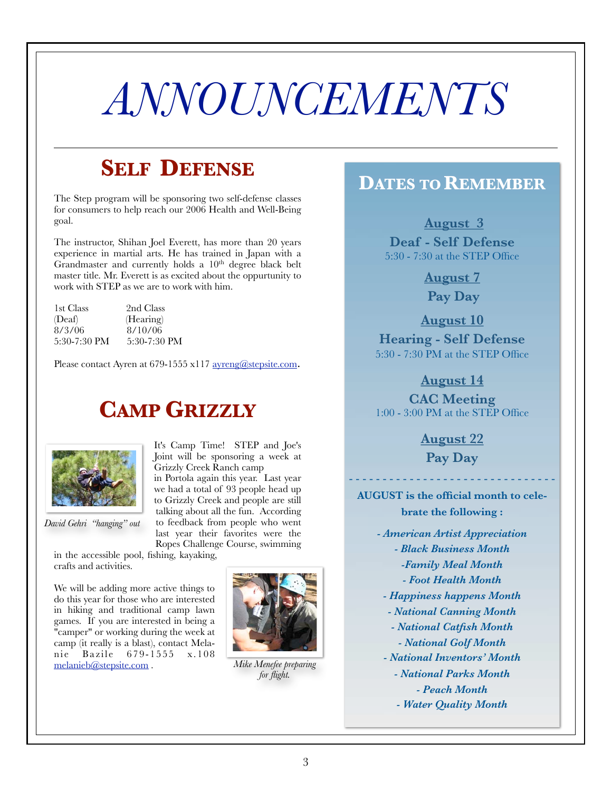## *ANNOUNCEMENTS*

## **SELF DEFENSE**

The Step program will be sponsoring two self-defense classes for consumers to help reach our 2006 Health and Well-Being goal.

The instructor, Shihan Joel Everett, has more than 20 years experience in martial arts. He has trained in Japan with a Grandmaster and currently holds a 10<sup>th</sup> degree black belt master title. Mr. Everett is as excited about the oppurtunity to work with STEP as we are to work with him.

| 1st Class    | 2nd Class    |
|--------------|--------------|
| (Deaf)       | (Hearing)    |
| 8/3/06       | 8/10/06      |
| 5:30-7:30 PM | 5:30-7:30 PM |

Please contact Ayren at 679-1555 x117 ayreng@stepsite.com.

## **CAMP GRIZZLY**



*David Gehri "hanging" out*

It's Camp Time! STEP and Joe's Joint will be sponsoring a week at Grizzly Creek Ranch camp in Portola again this year. Last year we had a total of 93 people head up

to Grizzly Creek and people are still talking about all the fun. According to feedback from people who went last year their favorites were the Ropes Challenge Course, swimming

in the accessible pool, fishing, kayaking, crafts and activities.

We will be adding more active things to do this year for those who are interested in hiking and traditional camp lawn games. If you are interested in being a "camper" or working during the week at camp (it really is a blast), contact Melanie Bazile 679-1555 x.108 melanieb@stepsite.com .



*Mike Menefee preparing for flight.*

### **DATES TO REMEMBER**

**August 3**

**Deaf - Self Defense** 5:30 - 7:30 at the STEP Office

> **August 7 Pay Day**

**August 10**

**Hearing - Self Defense** 5:30 - 7:30 PM at the STEP Office

**August 14**

**CAC Meeting** 1:00 - 3:00 PM at the STEP Office

**August 22**

**Pay Day**

- - - - - - - - - - - - - - - - - - - - - - - - - - - - - - -

**AUGUST is the official month to celebrate the following :**

- *American Artist Appreciation - Black Business Month -Family Meal Month - Foot Health Month*
- *Happiness happens Month*
- *National Canning Month*
- *National Catfish Month*
- *National Golf Month*
- *National Inventors' Month*
	- *National Parks Month*
		- *Peach Month*
	- *Water Quality Month*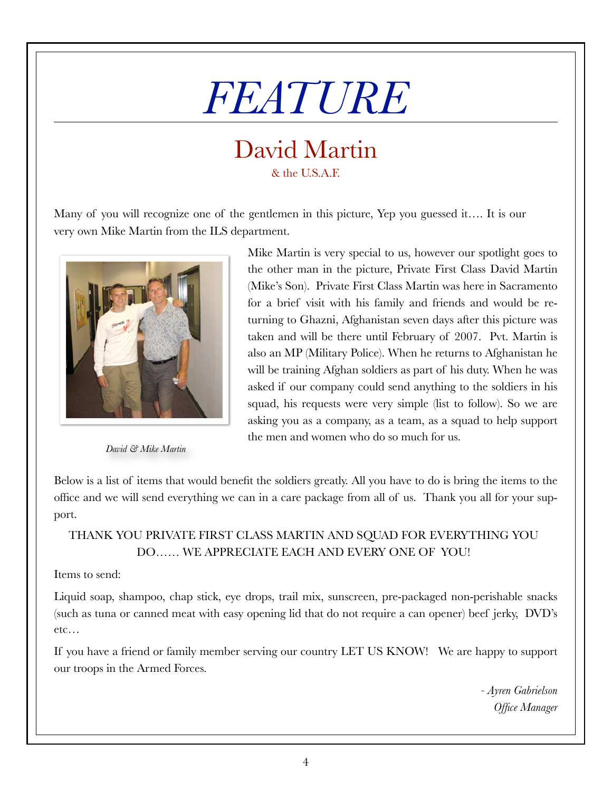# *FEATURE*

### David Martin & the U.S.A.F.

Many of you will recognize one of the gentlemen in this picture, Yep you guessed it…. It is our very own Mike Martin from the ILS department.



*David & Mike Martin*

Mike Martin is very special to us, however our spotlight goes to the other man in the picture, Private First Class David Martin (Mike's Son). Private First Class Martin was here in Sacramento for a brief visit with his family and friends and would be returning to Ghazni, Afghanistan seven days after this picture was taken and will be there until February of 2007. Pvt. Martin is also an MP (Military Police). When he returns to Afghanistan he will be training Afghan soldiers as part of his duty. When he was asked if our company could send anything to the soldiers in his squad, his requests were very simple (list to follow). So we are asking you as a company, as a team, as a squad to help support the men and women who do so much for us.

Below is a list of items that would benefit the soldiers greatly. All you have to do is bring the items to the office and we will send everything we can in a care package from all of us. Thank you all for your support.

### THANK YOU PRIVATE FIRST CLASS MARTIN AND SQUAD FOR EVERYTHING YOU DO…… WE APPRECIATE EACH AND EVERY ONE OF YOU!

### Items to send:

Liquid soap, shampoo, chap stick, eye drops, trail mix, sunscreen, pre-packaged non-perishable snacks (such as tuna or canned meat with easy opening lid that do not require a can opener) beef jerky, DVD's etc…

If you have a friend or family member serving our country LET US KNOW! We are happy to support our troops in the Armed Forces.

> *- Ayren Gabrielson Office Manager*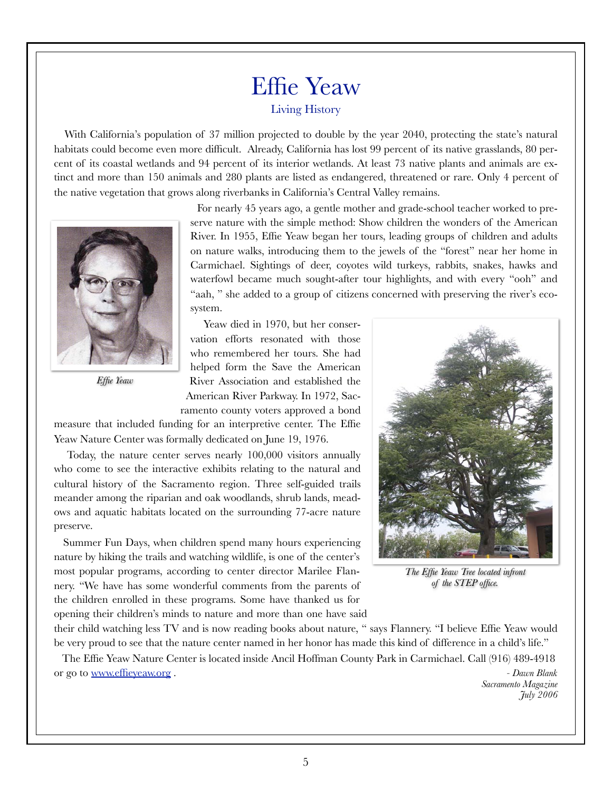### Effie Yeaw Living History

With California's population of 37 million projected to double by the year 2040, protecting the state's natural habitats could become even more difficult. Already, California has lost 99 percent of its native grasslands, 80 percent of its coastal wetlands and 94 percent of its interior wetlands. At least 73 native plants and animals are extinct and more than 150 animals and 280 plants are listed as endangered, threatened or rare. Only 4 percent of the native vegetation that grows along riverbanks in California's Central Valley remains.



*Effie Yeaw*

For nearly 45 years ago, a gentle mother and grade-school teacher worked to preserve nature with the simple method: Show children the wonders of the American River. In 1955, Effie Yeaw began her tours, leading groups of children and adults on nature walks, introducing them to the jewels of the "forest" near her home in Carmichael. Sightings of deer, coyotes wild turkeys, rabbits, snakes, hawks and waterfowl became much sought-after tour highlights, and with every "ooh" and "aah, " she added to a group of citizens concerned with preserving the river's ecosystem.

Yeaw died in 1970, but her conservation efforts resonated with those who remembered her tours. She had helped form the Save the American River Association and established the American River Parkway. In 1972, Sacramento county voters approved a bond

measure that included funding for an interpretive center. The Effie Yeaw Nature Center was formally dedicated on June 19, 1976.

Today, the nature center serves nearly 100,000 visitors annually who come to see the interactive exhibits relating to the natural and cultural history of the Sacramento region. Three self-guided trails meander among the riparian and oak woodlands, shrub lands, meadows and aquatic habitats located on the surrounding 77-acre nature preserve.

Summer Fun Days, when children spend many hours experiencing nature by hiking the trails and watching wildlife, is one of the center's most popular programs, according to center director Marilee Flannery. "We have has some wonderful comments from the parents of the children enrolled in these programs. Some have thanked us for opening their children's minds to nature and more than one have said



*The Effie Yeaw Tree located infront of the STEP office.*

their child watching less TV and is now reading books about nature, " says Flannery. "I believe Effie Yeaw would be very proud to see that the nature center named in her honor has made this kind of difference in a child's life."

 The Effie Yeaw Nature Center is located inside Ancil Hoffman County Park in Carmichael. Call (916) 489-4918 or go to www.effieyeaw.org . *- Dawn Blank*

*Sacramento Magazine July 2006*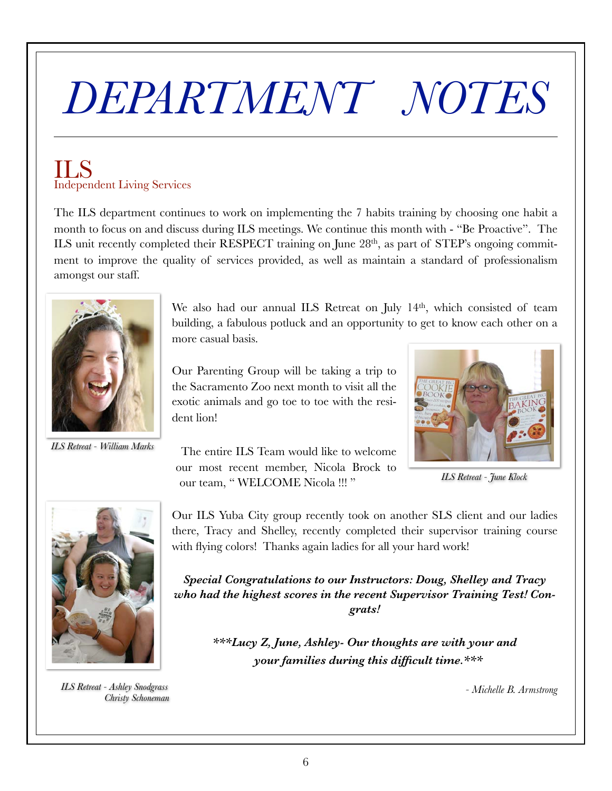# *DEPARTMENT NOTES*

### ILS Independent Living Services

The ILS department continues to work on implementing the 7 habits training by choosing one habit a month to focus on and discuss during ILS meetings. We continue this month with - "Be Proactive". The ILS unit recently completed their RESPECT training on June 28<sup>th</sup>, as part of STEP's ongoing commitment to improve the quality of services provided, as well as maintain a standard of professionalism amongst our staff.



*ILS Retreat - William Marks*

We also had our annual ILS Retreat on July 14<sup>th</sup>, which consisted of team building, a fabulous potluck and an opportunity to get to know each other on a more casual basis.

Our ILS Yuba City group recently took on another SLS client and our ladies there, Tracy and Shelley, recently completed their supervisor training course

*Special Congratulations to our Instructors: Doug, Shelley and Tracy who had the highest scores in the recent Supervisor Training Test! Congrats!*

Our Parenting Group will be taking a trip to the Sacramento Zoo next month to visit all the exotic animals and go toe to toe with the resident lion!



*ILS Retreat - June Klock*



*ILS Retreat - Ashley Snodgrass Christy Schoneman*

 The entire ILS Team would like to welcome our most recent member, Nicola Brock to our team, " WELCOME Nicola !!! "

with flying colors! Thanks again ladies for all your hard work!

*\*\*\*Lucy Z, June, Ashley- Our thoughts are with your and your families during this difficult time.\*\*\**

*- Michelle B. Armstrong*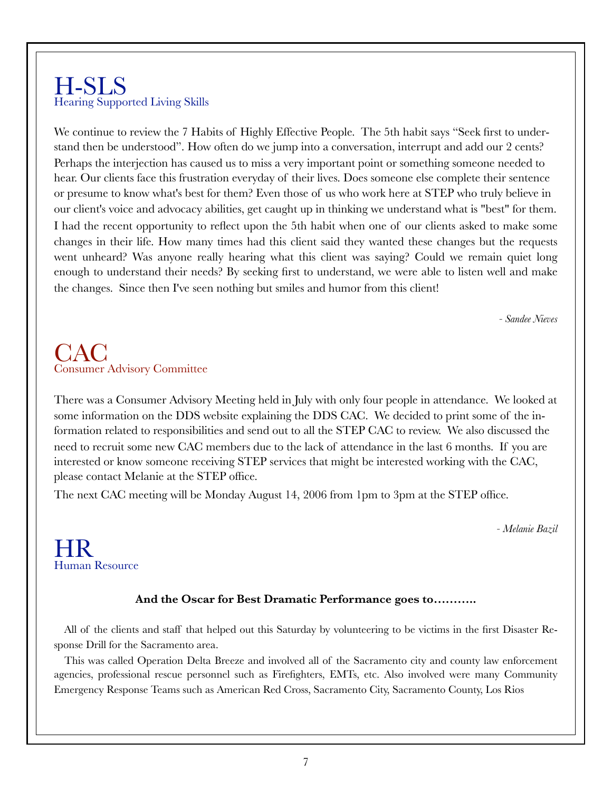### H-SLS Hearing Supported Living Skills

We continue to review the 7 Habits of Highly Effective People. The 5th habit says "Seek first to understand then be understood". How often do we jump into a conversation, interrupt and add our 2 cents? Perhaps the interjection has caused us to miss a very important point or something someone needed to hear. Our clients face this frustration everyday of their lives. Does someone else complete their sentence or presume to know what's best for them? Even those of us who work here at STEP who truly believe in our client's voice and advocacy abilities, get caught up in thinking we understand what is "best" for them. I had the recent opportunity to reflect upon the 5th habit when one of our clients asked to make some changes in their life. How many times had this client said they wanted these changes but the requests went unheard? Was anyone really hearing what this client was saying? Could we remain quiet long enough to understand their needs? By seeking first to understand, we were able to listen well and make the changes. Since then I've seen nothing but smiles and humor from this client!

*- Sandee Nieves*

### CAC Consumer Advisory Committee

There was a Consumer Advisory Meeting held in July with only four people in attendance. We looked at some information on the DDS website explaining the DDS CAC. We decided to print some of the information related to responsibilities and send out to all the STEP CAC to review. We also discussed the need to recruit some new CAC members due to the lack of attendance in the last 6 months. If you are interested or know someone receiving STEP services that might be interested working with the CAC, please contact Melanie at the STEP office.

The next CAC meeting will be Monday August 14, 2006 from 1pm to 3pm at the STEP office.

*- Melanie Bazil* 

### HR Human Resource

### **And the Oscar for Best Dramatic Performance goes to………..**

All of the clients and staff that helped out this Saturday by volunteering to be victims in the first Disaster Response Drill for the Sacramento area.

This was called Operation Delta Breeze and involved all of the Sacramento city and county law enforcement agencies, professional rescue personnel such as Firefighters, EMTs, etc. Also involved were many Community Emergency Response Teams such as American Red Cross, Sacramento City, Sacramento County, Los Rios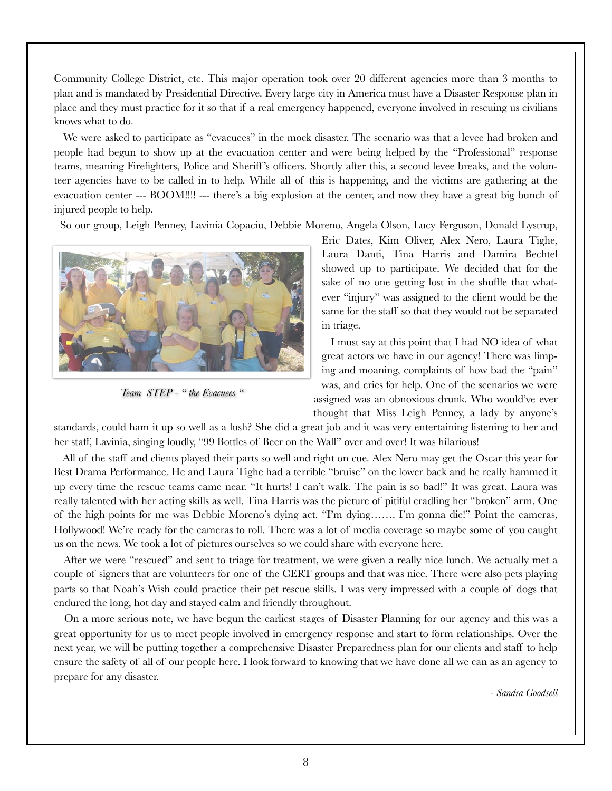Community College District, etc. This major operation took over 20 different agencies more than 3 months to plan and is mandated by Presidential Directive. Every large city in America must have a Disaster Response plan in place and they must practice for it so that if a real emergency happened, everyone involved in rescuing us civilians knows what to do.

We were asked to participate as "evacuees" in the mock disaster. The scenario was that a levee had broken and people had begun to show up at the evacuation center and were being helped by the "Professional" response teams, meaning Firefighters, Police and Sheriff 's officers. Shortly after this, a second levee breaks, and the volunteer agencies have to be called in to help. While all of this is happening, and the victims are gathering at the evacuation center --- BOOM!!!! --- there's a big explosion at the center, and now they have a great big bunch of injured people to help.

So our group, Leigh Penney, Lavinia Copaciu, Debbie Moreno, Angela Olson, Lucy Ferguson, Donald Lystrup,



*Team STEP - " the Evacuees "*

Eric Dates, Kim Oliver, Alex Nero, Laura Tighe, Laura Danti, Tina Harris and Damira Bechtel showed up to participate. We decided that for the sake of no one getting lost in the shuffle that whatever "injury" was assigned to the client would be the same for the staff so that they would not be separated in triage.

I must say at this point that I had NO idea of what great actors we have in our agency! There was limping and moaning, complaints of how bad the "pain" was, and cries for help. One of the scenarios we were assigned was an obnoxious drunk. Who would've ever thought that Miss Leigh Penney, a lady by anyone's

standards, could ham it up so well as a lush? She did a great job and it was very entertaining listening to her and her staff, Lavinia, singing loudly, "99 Bottles of Beer on the Wall" over and over! It was hilarious!

All of the staff and clients played their parts so well and right on cue. Alex Nero may get the Oscar this year for Best Drama Performance. He and Laura Tighe had a terrible "bruise" on the lower back and he really hammed it up every time the rescue teams came near. "It hurts! I can't walk. The pain is so bad!" It was great. Laura was really talented with her acting skills as well. Tina Harris was the picture of pitiful cradling her "broken" arm. One of the high points for me was Debbie Moreno's dying act. "I'm dying……. I'm gonna die!" Point the cameras, Hollywood! We're ready for the cameras to roll. There was a lot of media coverage so maybe some of you caught us on the news. We took a lot of pictures ourselves so we could share with everyone here.

After we were "rescued" and sent to triage for treatment, we were given a really nice lunch. We actually met a couple of signers that are volunteers for one of the CERT groups and that was nice. There were also pets playing parts so that Noah's Wish could practice their pet rescue skills. I was very impressed with a couple of dogs that endured the long, hot day and stayed calm and friendly throughout.

On a more serious note, we have begun the earliest stages of Disaster Planning for our agency and this was a great opportunity for us to meet people involved in emergency response and start to form relationships. Over the next year, we will be putting together a comprehensive Disaster Preparedness plan for our clients and staff to help ensure the safety of all of our people here. I look forward to knowing that we have done all we can as an agency to prepare for any disaster.

*- Sandra Goodsell*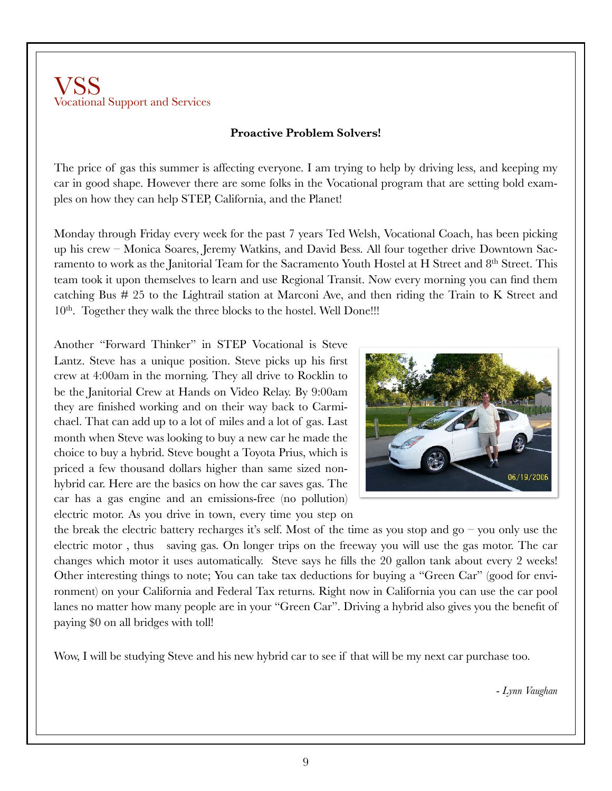### VSS Vocational Support and Services

### **Proactive Problem Solvers!**

The price of gas this summer is affecting everyone. I am trying to help by driving less, and keeping my car in good shape. However there are some folks in the Vocational program that are setting bold examples on how they can help STEP, California, and the Planet!

Monday through Friday every week for the past 7 years Ted Welsh, Vocational Coach, has been picking up his crew – Monica Soares, Jeremy Watkins, and David Bess. All four together drive Downtown Sacramento to work as the Janitorial Team for the Sacramento Youth Hostel at H Street and 8th Street. This team took it upon themselves to learn and use Regional Transit. Now every morning you can find them catching Bus # 25 to the Lightrail station at Marconi Ave, and then riding the Train to K Street and  $10<sup>th</sup>$ . Together they walk the three blocks to the hostel. Well Done!!!

Another "Forward Thinker" in STEP Vocational is Steve Lantz. Steve has a unique position. Steve picks up his first crew at 4:00am in the morning. They all drive to Rocklin to be the Janitorial Crew at Hands on Video Relay. By 9:00am they are finished working and on their way back to Carmichael. That can add up to a lot of miles and a lot of gas. Last month when Steve was looking to buy a new car he made the choice to buy a hybrid. Steve bought a Toyota Prius, which is priced a few thousand dollars higher than same sized nonhybrid car. Here are the basics on how the car saves gas. The car has a gas engine and an emissions-free (no pollution) electric motor. As you drive in town, every time you step on



the break the electric battery recharges it's self. Most of the time as you stop and  $g_0$  – you only use the electric motor , thus saving gas. On longer trips on the freeway you will use the gas motor. The car changes which motor it uses automatically. Steve says he fills the 20 gallon tank about every 2 weeks! Other interesting things to note; You can take tax deductions for buying a "Green Car" (good for environment) on your California and Federal Tax returns. Right now in California you can use the car pool lanes no matter how many people are in your "Green Car". Driving a hybrid also gives you the benefit of paying \$0 on all bridges with toll!

Wow, I will be studying Steve and his new hybrid car to see if that will be my next car purchase too.

- *Lynn Vaughan*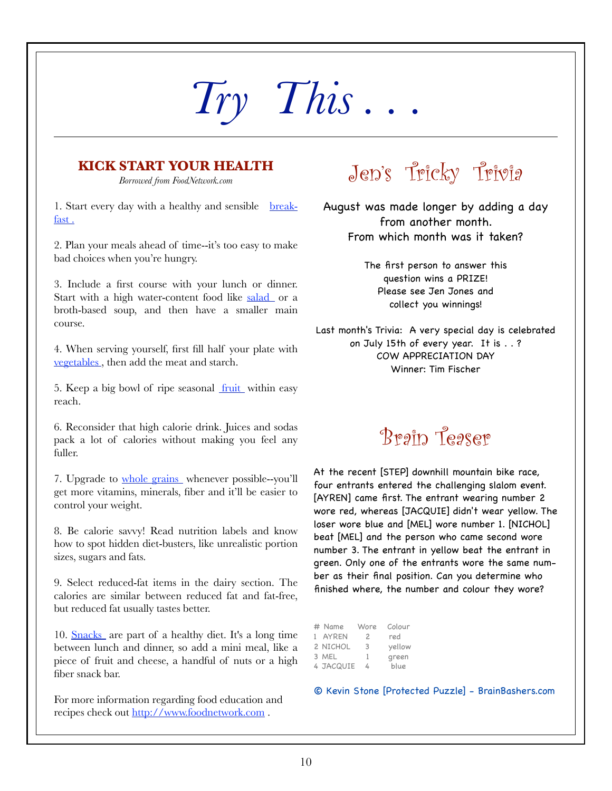# *Try This . . .*

### **KICK START YOUR HEALTH**

*Borrowed from FoodNetwork.com*

1. Start every day with a healthy and sensible breakfast .

2. Plan your meals ahead of time--it's too easy to make bad choices when you're hungry.

3. Include a first course with your lunch or dinner. Start with a high water-content food like salad or a broth-based soup, and then have a smaller main course.

4. When serving yourself, first fill half your plate with vegetables , then add the meat and starch.

5. Keep a big bowl of ripe seasonal <u>fruit</u> within easy reach.

6. Reconsider that high calorie drink. Juices and sodas pack a lot of calories without making you feel any fuller.

7. Upgrade to whole grains whenever possible--you'll get more vitamins, minerals, fiber and it'll be easier to control your weight.

8. Be calorie savvy! Read nutrition labels and know how to spot hidden diet-busters, like unrealistic portion sizes, sugars and fats.

9. Select reduced-fat items in the dairy section. The calories are similar between reduced fat and fat-free, but reduced fat usually tastes better.

10. Snacks are part of a healthy diet. It's a long time between lunch and dinner, so add a mini meal, like a piece of fruit and cheese, a handful of nuts or a high fiber snack bar.

For more information regarding food education and recipes check out http://www.foodnetwork.com.

## Jen's Tricky Trivia

August was made longer by adding a day from another month. From which month was it taken?

> The first person to answer this question wins a PRIZE! Please see Jen Jones and collect you winnings!

Last month's Trivia: A very special day is celebrated on July 15th of every year. It is . . ? COW APPRECIATION DAY Winner: Tim Fischer

## Brain Teaser

At the recent [STEP] downhill mountain bike race, four entrants entered the challenging slalom event. [AYREN] came first. The entrant wearing number 2 wore red, whereas [JACQUIE] didn't wear yellow. The loser wore blue and [MEL] wore number 1. [NICHOL] beat [MEL] and the person who came second wore number 3. The entrant in yellow beat the entrant in green. Only one of the entrants wore the same number as their final position. Can you determine who finished where, the number and colour they wore?

| # Name    | Wore           | Colour |
|-----------|----------------|--------|
| 1 AYREN   | $\overline{c}$ | red    |
| 2 NICHOL  | 3              | yellow |
| 3 MEL     | ı              | green  |
| 4 JACQUIE | 4              | blue   |

© Kevin Stone [Protected Puzzle] - BrainBashers.com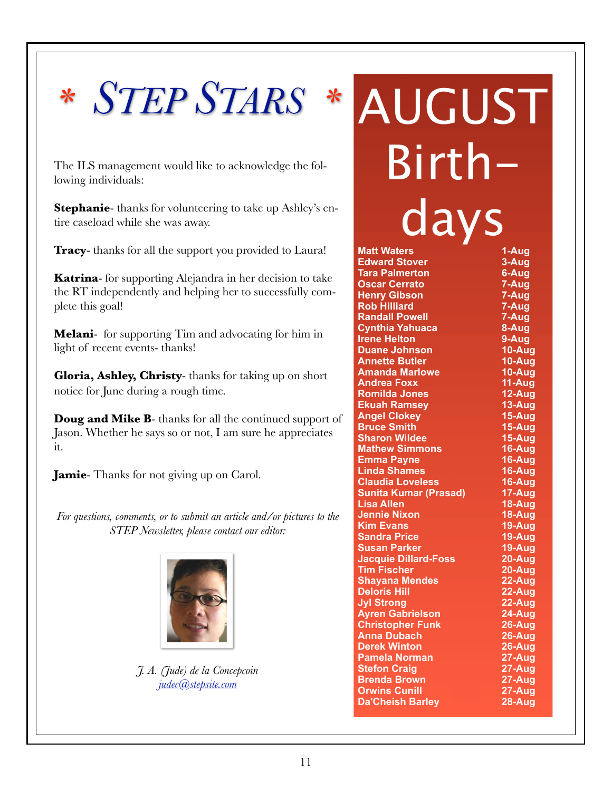## *\* STEP STARS \**

The ILS management would like to acknowledge the following individuals:

**Stephanie**- thanks for volunteering to take up Ashley's entire caseload while she was away.

**Tracy**- thanks for all the support you provided to Laura!

**Katrina**- for supporting Alejandra in her decision to take the RT independently and helping her to successfully complete this goal!

**Melani**- for supporting Tim and advocating for him in light of recent events- thanks!

**Gloria, Ashley, Christy**- thanks for taking up on short notice for June during a rough time.

**Doug and Mike B**- thanks for all the continued support of Jason. Whether he says so or not, I am sure he appreciates it.

**Jamie**- Thanks for not giving up on Carol.

*For questions, comments, or to submit an article and/or pictures to the STEP Newsletter, please contact our editor:*



*J. A. (Jude) de la Concepcoin judec@stepsite.com*

AUGUST Birthdays

| <b>Matt Waters</b>           | 1-Aug                 |
|------------------------------|-----------------------|
| <b>Edward Stover</b>         | 3-Aug                 |
| <b>Tara Palmerton</b>        | 6-Aug                 |
| <b>Oscar Cerrato</b>         | 7-Aug                 |
| <b>Henry Gibson</b>          | 7-Aug                 |
| <b>Rob Hilliard</b>          | $7 - Aug$             |
| <b>Randall Powell</b>        | 7-Aug                 |
| <b>Cynthia Yahuaca</b>       | 8-Aug                 |
| <b>Irene Helton</b>          | 9-Aug                 |
| <b>Duane Johnson</b>         | 10-Aug                |
| <b>Annette Butler</b>        | 10-Aug                |
| <b>Amanda Marlowe</b>        | 10-Aug                |
| <b>Andrea Foxx</b>           | 11-Aug                |
| <b>Romilda Jones</b>         | $12-Aug$              |
| <b>Ekuah Ramsey</b>          | 13-Aug                |
| <b>Angel Clokey</b>          | $15 - Aug$            |
| <b>Bruce Smith</b>           | $15 - \overline{Aug}$ |
| <b>Sharon Wildee</b>         | $15 - \overline{Aug}$ |
| <b>Mathew Simmons</b>        | 16-Aug                |
| <b>Emma Payne</b>            | 16-Aug                |
| <b>Linda Shames</b>          | $16 - \overline{Aug}$ |
| <b>Claudia Loveless</b>      | $16 - \overline{Aug}$ |
| <b>Sunita Kumar (Prasad)</b> | 17-Aug                |
| <b>Lisa Allen</b>            | $18 - \overline{Aug}$ |
| <b>Jennie Nixon</b>          | $18 -$ Aug            |
| <b>Kim Evans</b>             | 19-Aug                |
| <b>Sandra Price</b>          | $19 - Aug$            |
| <b>Susan Parker</b>          | $19 - \overline{Aug}$ |
| <b>Jacquie Dillard-Foss</b>  | $20 - Aug$            |
| <b>Tim Fischer</b>           | $20 - Aug$            |
| <b>Shayana Mendes</b>        | 22-Aug                |
| <b>Deloris Hill</b>          | $22 - Aug$            |
| <b>Jyl Strong</b>            | $22 - Aug$            |
| <b>Ayren Gabrielson</b>      | 24-Aug                |
| <b>Christopher Funk</b>      | $26 - Aug$            |
| <b>Anna Dubach</b>           | $26 - \overline{Aug}$ |
| <b>Derek Winton</b>          | $26 - Aug$            |
| <b>Pamela Norman</b>         | 27-Aug                |
| <b>Stefon Craig</b>          | $27 - Aug$            |
| <b>Brenda Brown</b>          | 27-Aug                |
| <b>Orwins Cunill</b>         | $27 - Aug$            |
| <b>Da'Cheish Barley</b>      | $28 -$ Aug            |